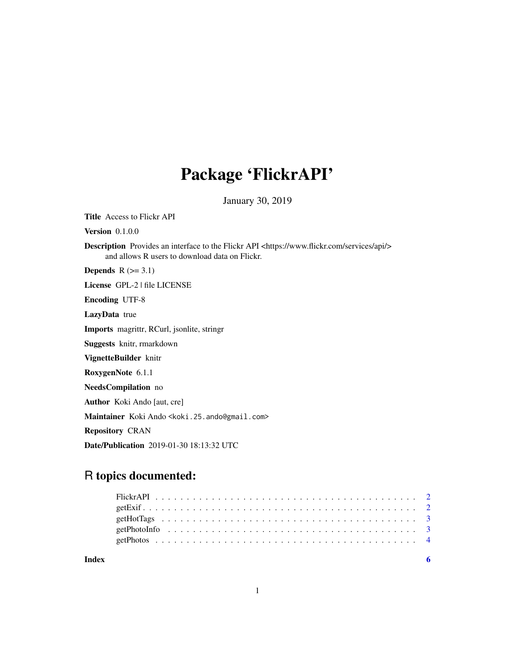## Package 'FlickrAPI'

January 30, 2019

Title Access to Flickr API

**Version** 0.1.0.0

Description Provides an interface to the Flickr API <https://www.flickr.com/services/api/> and allows R users to download data on Flickr.

**Depends**  $R$  ( $>= 3.1$ )

License GPL-2 | file LICENSE

Encoding UTF-8

LazyData true

Imports magrittr, RCurl, jsonlite, stringr

Suggests knitr, rmarkdown

VignetteBuilder knitr

RoxygenNote 6.1.1

NeedsCompilation no

Author Koki Ando [aut, cre]

Maintainer Koki Ando <koki.25.ando@gmail.com>

Repository CRAN

Date/Publication 2019-01-30 18:13:32 UTC

### R topics documented:

| Index |  |  |  |  |  |  |  |  |  |  |  |  |  |  |  |  |  |  |  |
|-------|--|--|--|--|--|--|--|--|--|--|--|--|--|--|--|--|--|--|--|
|       |  |  |  |  |  |  |  |  |  |  |  |  |  |  |  |  |  |  |  |
|       |  |  |  |  |  |  |  |  |  |  |  |  |  |  |  |  |  |  |  |
|       |  |  |  |  |  |  |  |  |  |  |  |  |  |  |  |  |  |  |  |
|       |  |  |  |  |  |  |  |  |  |  |  |  |  |  |  |  |  |  |  |
|       |  |  |  |  |  |  |  |  |  |  |  |  |  |  |  |  |  |  |  |

1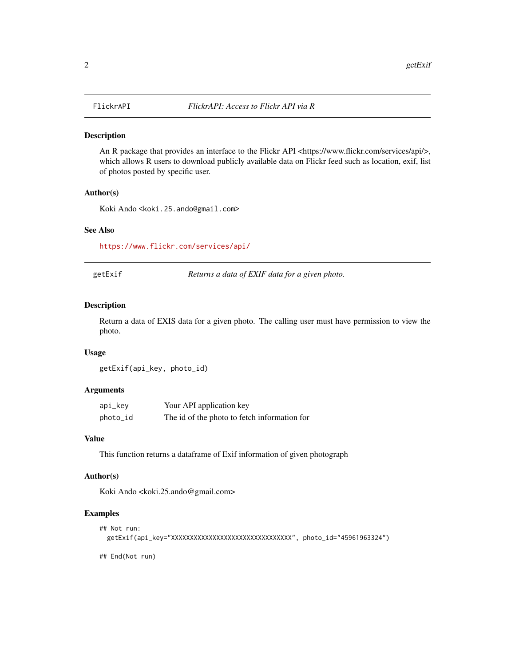<span id="page-1-0"></span>

#### Description

An R package that provides an interface to the Flickr API <https://www.flickr.com/services/api/>, which allows R users to download publicly available data on Flickr feed such as location, exif, list of photos posted by specific user.

#### Author(s)

Koki Ando <koki.25.ando@gmail.com>

#### See Also

<https://www.flickr.com/services/api/>

getExif *Returns a data of EXIF data for a given photo.*

#### Description

Return a data of EXIS data for a given photo. The calling user must have permission to view the photo.

#### Usage

getExif(api\_key, photo\_id)

#### Arguments

| api_key  | Your API application key                     |
|----------|----------------------------------------------|
| photo_id | The id of the photo to fetch information for |

#### Value

This function returns a dataframe of Exif information of given photograph

#### Author(s)

Koki Ando <koki.25.ando@gmail.com>

#### Examples

```
## Not run:
 getExif(api_key="XXXXXXXXXXXXXXXXXXXXXXXXXXXXXXXX", photo_id="45961963324")
```
## End(Not run)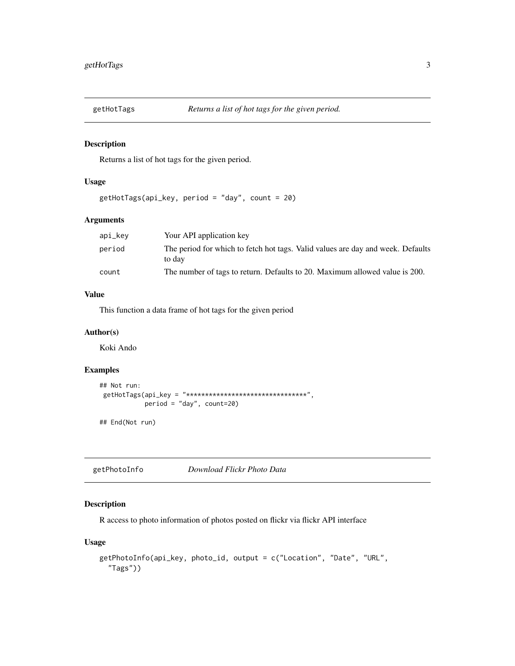<span id="page-2-0"></span>

#### Description

Returns a list of hot tags for the given period.

#### Usage

```
getHotTags(api_key, period = "day", count = 20)
```
#### Arguments

| api_kev | Your API application key                                                                  |
|---------|-------------------------------------------------------------------------------------------|
| period  | The period for which to fetch hot tags. Valid values are day and week. Defaults<br>to day |
| count   | The number of tags to return. Defaults to 20. Maximum allowed value is 200.               |

#### Value

This function a data frame of hot tags for the given period

#### Author(s)

Koki Ando

#### Examples

```
## Not run:
getHotTags(api_key = "********************************",
            period = "day", count=20)
```
## End(Not run)

getPhotoInfo *Download Flickr Photo Data*

#### Description

R access to photo information of photos posted on flickr via flickr API interface

#### Usage

```
getPhotoInfo(api_key, photo_id, output = c("Location", "Date", "URL",
  "Tags"))
```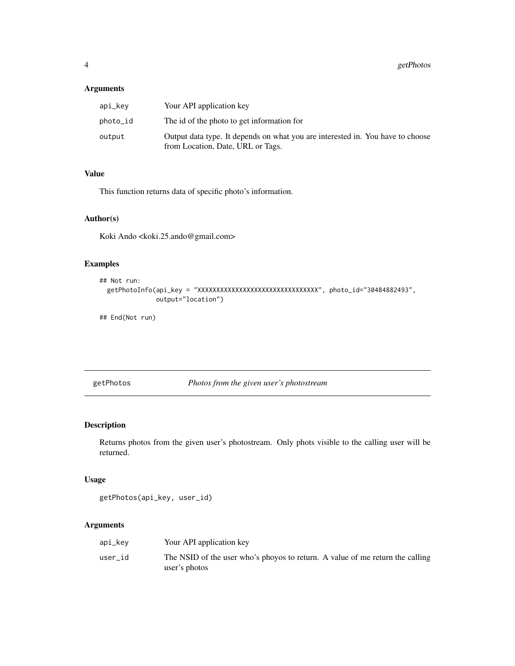#### <span id="page-3-0"></span>Arguments

| api_kev  | Your API application key                                                                                            |
|----------|---------------------------------------------------------------------------------------------------------------------|
| photo_id | The id of the photo to get information for                                                                          |
| output   | Output data type. It depends on what you are interested in. You have to choose<br>from Location, Date, URL or Tags. |

#### Value

This function returns data of specific photo's information.

#### Author(s)

Koki Ando <koki.25.ando@gmail.com>

#### Examples

```
## Not run:
  getPhotoInfo(api_key = "XXXXXXXXXXXXXXXXXXXXXXXXXXXXXXXX", photo_id="30484882493",
               output="location")
```
## End(Not run)

getPhotos *Photos from the given user's photostream*

#### Description

Returns photos from the given user's photostream. Only phots visible to the calling user will be returned.

#### Usage

```
getPhotos(api_key, user_id)
```
#### Arguments

| api_kev | Your API application key                                                                       |
|---------|------------------------------------------------------------------------------------------------|
| user id | The NSID of the user who's phoyos to return. A value of me return the calling<br>user's photos |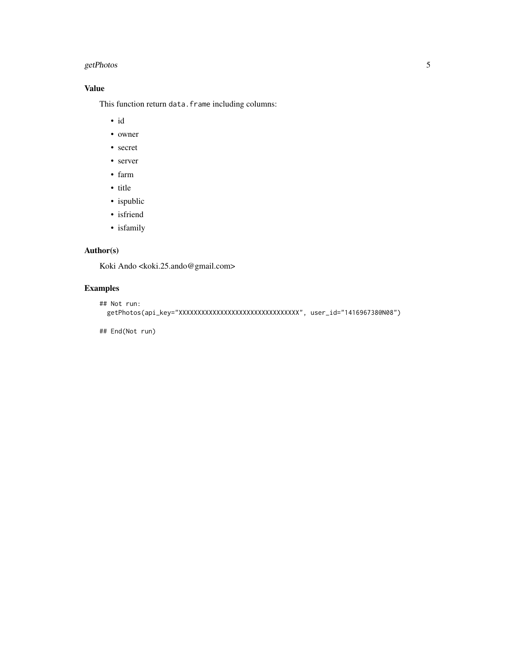#### getPhotos 5

#### Value

This function return data.frame including columns:

- id
- owner
- secret
- server
- farm
- title
- ispublic
- isfriend
- isfamily

#### Author(s)

Koki Ando <koki.25.ando@gmail.com>

#### Examples

```
## Not run:
 getPhotos(api_key="XXXXXXXXXXXXXXXXXXXXXXXXXXXXXXXX", user_id="141696738@N08")
```
## End(Not run)